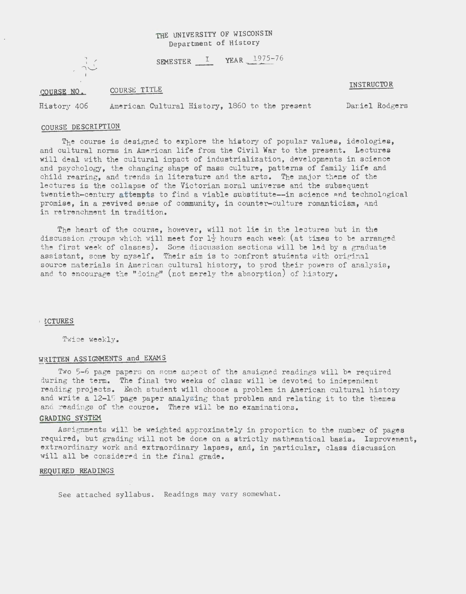## THE UNIVERSITY OF WISCONSIN Department of History

SEMESTER  $I$  YEAR  $1975-76$ 

 $\frac{1}{2}$ 

#### COURSE NO. COURSE TITLE

### **INSTRUCTOR**

History 406 American Cultural History, 1860 to the present Daniel Rodgers

# COURSE DESCRIPTION

The course is designed to explore the history of popular values, ideologies, and cultural norms in American life from the Civil War to the present. Lectures will deal with the cultural impact of industrialization, developments in science and psychology, the changing shape of mass culture, patterns of family life and child rearing, and trends in literature and the arts. The major theme of the lectures is the collapse of the Victorian moral universe and the subsequent twentieth-century attempts to find a viable substitute--in science and technological promise, in a revived sense of community, in counter-culture romanticism, and in retrenchment in tradition.

The heart of the course, however, will not lie in the lectures but in the discussion groups which will meet for  $1\frac{1}{2}$  hours each week (at times to be arranged the first week of classes). Some discussion sections will be led by a graduate assistant, some by myself. Their aim is to confront students with original source materials in American cultural history, to prod their powers of analysis, and to encourage the "doing" (not merely the absorption) of history.

#### I ~CTURES

Twice weekly.

# WRITTEN ASSIGNMENTS and EXAMS

Two 5-6 page papers on some aspect of the assigned readings will be required during the term. The final two weeks of class will be devoted to independent reading projects. Each student will choose a problem in American cultural history and write a 12-15 page paper analyzing that problem and relating it to the themes and readings of the course. There will be no examinations.

#### GRADING SYSTEM

Assignments will be weighted approximately in proportion to the number of pages required, but grading will not be done on a strictly mathematical basis. Improvement. extraordinary work and extraordinary lapses, and, in particular, class discussion will all be considered in the final grade.

#### REQUIRED READINGS

See attached syllabus. Readings may vary somewhat.